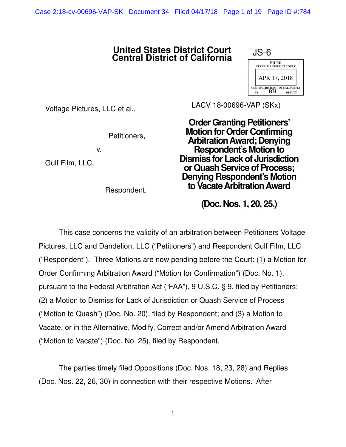Case 2:18-cv-00696-VAP-SK Document 34 Filed 04/17/18 Page 1 of 19 Page ID #:784

## **United States District Court Central District of California**



Voltage Pictures, LLC et al.,

Petitioners,

v.

Gulf Film, LLC,

Respondent.

LACV 18-00696-VAP (SKx)

**Order Granting Petitioners' Motion for Order Confirming Arbitration Award; Denying Respondent's Motion to Dismiss for Lack of Jurisdiction or Quash Service of Process; Denying Respondent's Motion to Vacate Arbitration Award** 

**(Doc. Nos. 1, 20, 25.)**

This case concerns the validity of an arbitration between Petitioners Voltage Pictures, LLC and Dandelion, LLC ("Petitioners") and Respondent Gulf Film, LLC ("Respondent"). Three Motions are now pending before the Court: (1) a Motion for Order Confirming Arbitration Award ("Motion for Confirmation") (Doc. No. 1), pursuant to the Federal Arbitration Act ("FAA"), 9 U.S.C. § 9, filed by Petitioners; (2) a Motion to Dismiss for Lack of Jurisdiction or Quash Service of Process ("Motion to Quash") (Doc. No. 20), filed by Respondent; and (3) a Motion to Vacate, or in the Alternative, Modify, Correct and/or Amend Arbitration Award ("Motion to Vacate") (Doc. No. 25), filed by Respondent.

 The parties timely filed Oppositions (Doc. Nos. 18, 23, 28) and Replies (Doc. Nos. 22, 26, 30) in connection with their respective Motions. After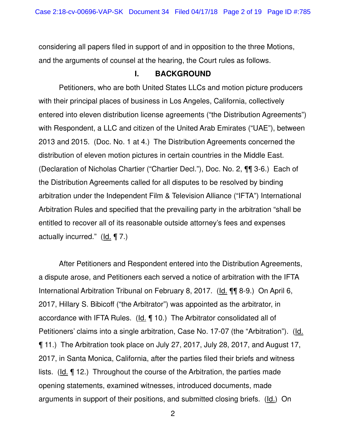considering all papers filed in support of and in opposition to the three Motions, and the arguments of counsel at the hearing, the Court rules as follows.

## **I. BACKGROUND**

Petitioners, who are both United States LLCs and motion picture producers with their principal places of business in Los Angeles, California, collectively entered into eleven distribution license agreements ("the Distribution Agreements") with Respondent, a LLC and citizen of the United Arab Emirates ("UAE"), between 2013 and 2015. (Doc. No. 1 at 4.) The Distribution Agreements concerned the distribution of eleven motion pictures in certain countries in the Middle East. (Declaration of Nicholas Chartier ("Chartier Decl."), Doc. No. 2, ¶¶ 3-6.) Each of the Distribution Agreements called for all disputes to be resolved by binding arbitration under the Independent Film & Television Alliance ("IFTA") International Arbitration Rules and specified that the prevailing party in the arbitration "shall be entitled to recover all of its reasonable outside attorney's fees and expenses actually incurred." (Id. ¶ 7.)

After Petitioners and Respondent entered into the Distribution Agreements, a dispute arose, and Petitioners each served a notice of arbitration with the IFTA International Arbitration Tribunal on February 8, 2017. (Id. ¶¶ 8-9.) On April 6, 2017, Hillary S. Bibicoff ("the Arbitrator") was appointed as the arbitrator, in accordance with IFTA Rules. ( $Id. \P 10$ .) The Arbitrator consolidated all of Petitioners' claims into a single arbitration, Case No. 17-07 (the "Arbitration"). (Id. ¶ 11.) The Arbitration took place on July 27, 2017, July 28, 2017, and August 17, 2017, in Santa Monica, California, after the parties filed their briefs and witness lists.  $(\underline{Id}, \P 12)$  Throughout the course of the Arbitration, the parties made opening statements, examined witnesses, introduced documents, made arguments in support of their positions, and submitted closing briefs. (Id.) On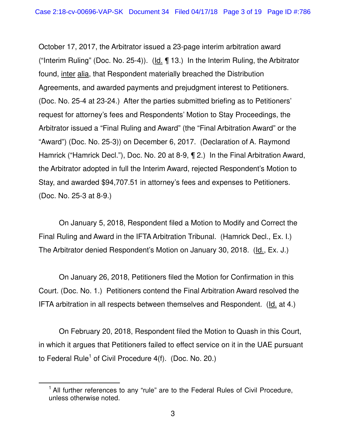October 17, 2017, the Arbitrator issued a 23-page interim arbitration award ("Interim Ruling" (Doc. No. 25-4)). (Id. ¶ 13.) In the Interim Ruling, the Arbitrator found, inter alia, that Respondent materially breached the Distribution Agreements, and awarded payments and prejudgment interest to Petitioners. (Doc. No. 25-4 at 23-24.) After the parties submitted briefing as to Petitioners' request for attorney's fees and Respondents' Motion to Stay Proceedings, the Arbitrator issued a "Final Ruling and Award" (the "Final Arbitration Award" or the "Award") (Doc. No. 25-3)) on December 6, 2017. (Declaration of A. Raymond Hamrick ("Hamrick Decl."), Doc. No. 20 at 8-9, ¶ 2.) In the Final Arbitration Award, the Arbitrator adopted in full the Interim Award, rejected Respondent's Motion to Stay, and awarded \$94,707.51 in attorney's fees and expenses to Petitioners. (Doc. No. 25-3 at 8-9.)

On January 5, 2018, Respondent filed a Motion to Modify and Correct the Final Ruling and Award in the IFTA Arbitration Tribunal. (Hamrick Decl., Ex. I.) The Arbitrator denied Respondent's Motion on January 30, 2018. (Id., Ex. J.)

On January 26, 2018, Petitioners filed the Motion for Confirmation in this Court. (Doc. No. 1.) Petitioners contend the Final Arbitration Award resolved the IFTA arbitration in all respects between themselves and Respondent. (Id. at 4.)

On February 20, 2018, Respondent filed the Motion to Quash in this Court, in which it argues that Petitioners failed to effect service on it in the UAE pursuant to Federal Rule<sup>1</sup> of Civil Procedure 4(f). (Doc. No. 20.)

 $\overline{a}$ 

<sup>&</sup>lt;sup>1</sup> All further references to any "rule" are to the Federal Rules of Civil Procedure, unless otherwise noted.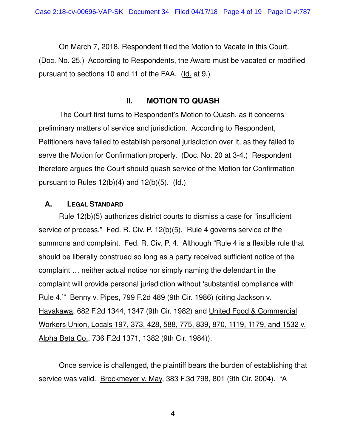On March 7, 2018, Respondent filed the Motion to Vacate in this Court. (Doc. No. 25.) According to Respondents, the Award must be vacated or modified pursuant to sections 10 and 11 of the FAA. (Id. at 9.)

#### **II. MOTION TO QUASH**

The Court first turns to Respondent's Motion to Quash, as it concerns preliminary matters of service and jurisdiction. According to Respondent, Petitioners have failed to establish personal jurisdiction over it, as they failed to serve the Motion for Confirmation properly. (Doc. No. 20 at 3-4.) Respondent therefore argues the Court should quash service of the Motion for Confirmation pursuant to Rules  $12(b)(4)$  and  $12(b)(5)$ . (Id.)

#### **A. LEGAL STANDARD**

Rule 12(b)(5) authorizes district courts to dismiss a case for "insufficient service of process." Fed. R. Civ. P. 12(b)(5). Rule 4 governs service of the summons and complaint. Fed. R. Civ. P. 4. Although "Rule 4 is a flexible rule that should be liberally construed so long as a party received sufficient notice of the complaint … neither actual notice nor simply naming the defendant in the complaint will provide personal jurisdiction without 'substantial compliance with Rule 4.'" Benny v. Pipes, 799 F.2d 489 (9th Cir. 1986) (citing Jackson v. Hayakawa, 682 F.2d 1344, 1347 (9th Cir. 1982) and United Food & Commercial Workers Union, Locals 197, 373, 428, 588, 775, 839, 870, 1119, 1179, and 1532 v. Alpha Beta Co., 736 F.2d 1371, 1382 (9th Cir. 1984)).

Once service is challenged, the plaintiff bears the burden of establishing that service was valid. Brockmeyer v. May, 383 F.3d 798, 801 (9th Cir. 2004). "A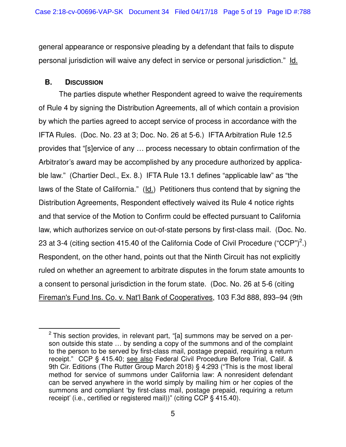general appearance or responsive pleading by a defendant that fails to dispute personal jurisdiction will waive any defect in service or personal jurisdiction." Id.

#### **B. DISCUSSION**

 $\overline{a}$ 

The parties dispute whether Respondent agreed to waive the requirements of Rule 4 by signing the Distribution Agreements, all of which contain a provision by which the parties agreed to accept service of process in accordance with the IFTA Rules. (Doc. No. 23 at 3; Doc. No. 26 at 5-6.) IFTA Arbitration Rule 12.5 provides that "[s]ervice of any … process necessary to obtain confirmation of the Arbitrator's award may be accomplished by any procedure authorized by applicable law." (Chartier Decl., Ex. 8.) IFTA Rule 13.1 defines "applicable law" as "the laws of the State of California." (Id.) Petitioners thus contend that by signing the Distribution Agreements, Respondent effectively waived its Rule 4 notice rights and that service of the Motion to Confirm could be effected pursuant to California law, which authorizes service on out-of-state persons by first-class mail. (Doc. No. 23 at 3-4 (citing section 415.40 of the California Code of Civil Procedure ("CCP")<sup>2</sup>.) Respondent, on the other hand, points out that the Ninth Circuit has not explicitly ruled on whether an agreement to arbitrate disputes in the forum state amounts to a consent to personal jurisdiction in the forum state. (Doc. No. 26 at 5-6 (citing Fireman's Fund Ins. Co. v. Nat'l Bank of Cooperatives, 103 F.3d 888, 893–94 (9th

 $2$  This section provides, in relevant part, "[a] summons may be served on a person outside this state … by sending a copy of the summons and of the complaint to the person to be served by first-class mail, postage prepaid, requiring a return receipt." CCP § 415.40; see also Federal Civil Procedure Before Trial, Calif. & 9th Cir. Editions (The Rutter Group March 2018) § 4:293 ("This is the most liberal method for service of summons under California law: A nonresident defendant can be served anywhere in the world simply by mailing him or her copies of the summons and compliant 'by first-class mail, postage prepaid, requiring a return receipt' (i.e., certified or registered mail))" (citing CCP § 415.40).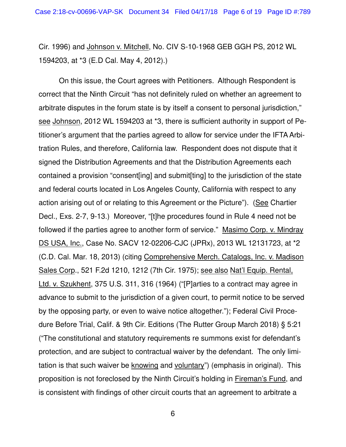Cir. 1996) and Johnson v. Mitchell, No. CIV S-10-1968 GEB GGH PS, 2012 WL 1594203, at \*3 (E.D Cal. May 4, 2012).)

On this issue, the Court agrees with Petitioners. Although Respondent is correct that the Ninth Circuit "has not definitely ruled on whether an agreement to arbitrate disputes in the forum state is by itself a consent to personal jurisdiction," see Johnson, 2012 WL 1594203 at \*3, there is sufficient authority in support of Petitioner's argument that the parties agreed to allow for service under the IFTA Arbitration Rules, and therefore, California law. Respondent does not dispute that it signed the Distribution Agreements and that the Distribution Agreements each contained a provision "consent[ing] and submit[ting] to the jurisdiction of the state and federal courts located in Los Angeles County, California with respect to any action arising out of or relating to this Agreement or the Picture"). (See Chartier Decl., Exs. 2-7, 9-13.) Moreover, "[t]he procedures found in Rule 4 need not be followed if the parties agree to another form of service." Masimo Corp. v. Mindray DS USA, Inc., Case No. SACV 12-02206-CJC (JPRx), 2013 WL 12131723, at \*2 (C.D. Cal. Mar. 18, 2013) (citing Comprehensive Merch. Catalogs, Inc. v. Madison Sales Corp., 521 F.2d 1210, 1212 (7th Cir. 1975); see also Nat'l Equip. Rental, Ltd. v. Szukhent, 375 U.S. 311, 316 (1964) ("[P]arties to a contract may agree in advance to submit to the jurisdiction of a given court, to permit notice to be served by the opposing party, or even to waive notice altogether."); Federal Civil Procedure Before Trial, Calif. & 9th Cir. Editions (The Rutter Group March 2018) § 5:21 ("The constitutional and statutory requirements re summons exist for defendant's protection, and are subject to contractual waiver by the defendant. The only limitation is that such waiver be knowing and voluntary") (emphasis in original). This proposition is not foreclosed by the Ninth Circuit's holding in Fireman's Fund, and is consistent with findings of other circuit courts that an agreement to arbitrate a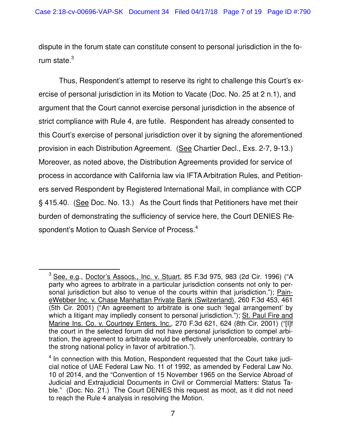dispute in the forum state can constitute consent to personal jurisdiction in the forum state. $^3$ 

Thus, Respondent's attempt to reserve its right to challenge this Court's exercise of personal jurisdiction in its Motion to Vacate (Doc. No. 25 at 2 n.1), and argument that the Court cannot exercise personal jurisdiction in the absence of strict compliance with Rule 4, are futile. Respondent has already consented to this Court's exercise of personal jurisdiction over it by signing the aforementioned provision in each Distribution Agreement. (See Chartier Decl., Exs. 2-7, 9-13.) Moreover, as noted above, the Distribution Agreements provided for service of process in accordance with California law via IFTA Arbitration Rules, and Petitioners served Respondent by Registered International Mail, in compliance with CCP § 415.40. (See Doc. No. 13.) As the Court finds that Petitioners have met their burden of demonstrating the sufficiency of service here, the Court DENIES Respondent's Motion to Quash Service of Process.<sup>4</sup>

 $\overline{a}$ 

<sup>&</sup>lt;sup>3</sup> See, e.g., Doctor's Assocs., Inc. v. Stuart, 85 F.3d 975, 983 (2d Cir. 1996) ("A party who agrees to arbitrate in a particular jurisdiction consents not only to personal jurisdiction but also to venue of the courts within that jurisdiction."); PaineWebber Inc. v. Chase Manhattan Private Bank (Switzerland), 260 F.3d 453, 461 (5th Cir. 2001) ("An agreement to arbitrate is one such 'legal arrangement' by which a litigant may impliedly consent to personal jurisdiction."); St. Paul Fire and Marine Ins. Co. v. Courtney Enters, Inc., 270 F.3d 621, 624 (8th Cir. 2001) ("[I]f the court in the selected forum did not have personal jurisdiction to compel arbitration, the agreement to arbitrate would be effectively unenforceable, contrary to the strong national policy in favor of arbitration.").

<sup>&</sup>lt;sup>4</sup> In connection with this Motion, Respondent requested that the Court take judicial notice of UAE Federal Law No. 11 of 1992, as amended by Federal Law No. 10 of 2014, and the "Convention of 15 November 1965 on the Service Abroad of Judicial and Extrajudicial Documents in Civil or Commercial Matters: Status Table." (Doc. No. 21.) The Court DENIES this request as moot, as it did not need to reach the Rule 4 analysis in resolving the Motion.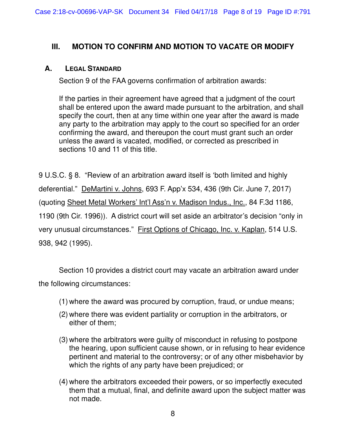# **III. MOTION TO CONFIRM AND MOTION TO VACATE OR MODIFY**

#### **A. LEGAL STANDARD**

Section 9 of the FAA governs confirmation of arbitration awards:

If the parties in their agreement have agreed that a judgment of the court shall be entered upon the award made pursuant to the arbitration, and shall specify the court, then at any time within one year after the award is made any party to the arbitration may apply to the court so specified for an order confirming the award, and thereupon the court must grant such an order unless the award is vacated, modified, or corrected as prescribed in sections 10 and 11 of this title.

9 U.S.C. § 8. "Review of an arbitration award itself is 'both limited and highly deferential." DeMartini v. Johns, 693 F. App'x 534, 436 (9th Cir. June 7, 2017) (quoting Sheet Metal Workers' Int'l Ass'n v. Madison Indus., Inc., 84 F.3d 1186, 1190 (9th Cir. 1996)). A district court will set aside an arbitrator's decision "only in very unusual circumstances." First Options of Chicago, Inc. v. Kaplan, 514 U.S. 938, 942 (1995).

Section 10 provides a district court may vacate an arbitration award under the following circumstances:

- (1) where the award was procured by corruption, fraud, or undue means;
- (2) where there was evident partiality or corruption in the arbitrators, or either of them;
- (3) where the arbitrators were guilty of misconduct in refusing to postpone the hearing, upon sufficient cause shown, or in refusing to hear evidence pertinent and material to the controversy; or of any other misbehavior by which the rights of any party have been prejudiced; or
- (4) where the arbitrators exceeded their powers, or so imperfectly executed them that a mutual, final, and definite award upon the subject matter was not made.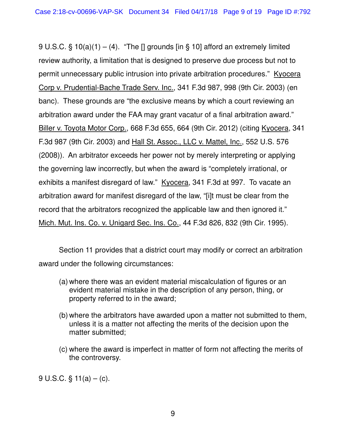9 U.S.C. § 10(a)(1) – (4). "The [] grounds [in § 10] afford an extremely limited review authority, a limitation that is designed to preserve due process but not to permit unnecessary public intrusion into private arbitration procedures." Kyocera Corp v. Prudential-Bache Trade Serv. Inc., 341 F.3d 987, 998 (9th Cir. 2003) (en banc). These grounds are "the exclusive means by which a court reviewing an arbitration award under the FAA may grant vacatur of a final arbitration award." Biller v. Toyota Motor Corp., 668 F.3d 655, 664 (9th Cir. 2012) (citing Kyocera, 341 F.3d 987 (9th Cir. 2003) and Hall St. Assoc., LLC v. Mattel, Inc., 552 U.S. 576 (2008)). An arbitrator exceeds her power not by merely interpreting or applying the governing law incorrectly, but when the award is "completely irrational, or exhibits a manifest disregard of law." Kyocera, 341 F.3d at 997. To vacate an arbitration award for manifest disregard of the law, "[i]t must be clear from the record that the arbitrators recognized the applicable law and then ignored it." Mich. Mut. Ins. Co. v. Unigard Sec. Ins. Co., 44 F.3d 826, 832 (9th Cir. 1995).

Section 11 provides that a district court may modify or correct an arbitration award under the following circumstances:

- (a) where there was an evident material miscalculation of figures or an evident material mistake in the description of any person, thing, or property referred to in the award;
- (b) where the arbitrators have awarded upon a matter not submitted to them, unless it is a matter not affecting the merits of the decision upon the matter submitted;
- (c) where the award is imperfect in matter of form not affecting the merits of the controversy.

9 U.S.C.  $\S$  11(a) – (c).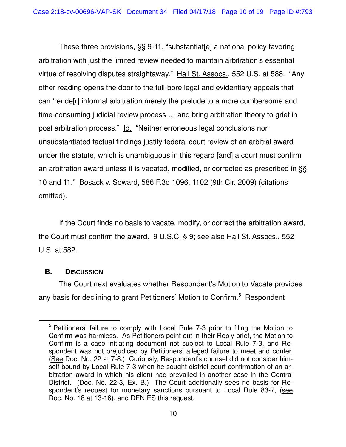These three provisions, §§ 9-11, "substantiat[e] a national policy favoring arbitration with just the limited review needed to maintain arbitration's essential virtue of resolving disputes straightaway." Hall St. Assocs., 552 U.S. at 588. "Any other reading opens the door to the full-bore legal and evidentiary appeals that can 'rende[r] informal arbitration merely the prelude to a more cumbersome and time-consuming judicial review process … and bring arbitration theory to grief in post arbitration process." Id. "Neither erroneous legal conclusions nor unsubstantiated factual findings justify federal court review of an arbitral award under the statute, which is unambiguous in this regard [and] a court must confirm an arbitration award unless it is vacated, modified, or corrected as prescribed in §§ 10 and 11." Bosack v. Soward, 586 F.3d 1096, 1102 (9th Cir. 2009) (citations omitted).

If the Court finds no basis to vacate, modify, or correct the arbitration award, the Court must confirm the award. 9 U.S.C. § 9; see also Hall St. Assocs., 552 U.S. at 582.

## **B. DISCUSSION**

 $\overline{a}$ 

The Court next evaluates whether Respondent's Motion to Vacate provides any basis for declining to grant Petitioners' Motion to Confirm.<sup>5</sup> Respondent

<sup>&</sup>lt;sup>5</sup> Petitioners' failure to comply with Local Rule 7-3 prior to filing the Motion to Confirm was harmless. As Petitioners point out in their Reply brief, the Motion to Confirm is a case initiating document not subject to Local Rule 7-3, and Respondent was not prejudiced by Petitioners' alleged failure to meet and confer. (See Doc. No. 22 at 7-8.) Curiously, Respondent's counsel did not consider himself bound by Local Rule 7-3 when he sought district court confirmation of an arbitration award in which his client had prevailed in another case in the Central District. (Doc. No. 22-3, Ex. B.) The Court additionally sees no basis for Respondent's request for monetary sanctions pursuant to Local Rule 83-7, (see Doc. No. 18 at 13-16), and DENIES this request.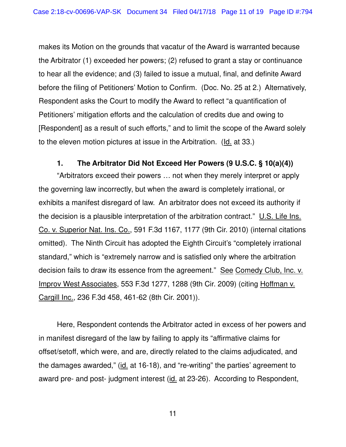makes its Motion on the grounds that vacatur of the Award is warranted because the Arbitrator (1) exceeded her powers; (2) refused to grant a stay or continuance to hear all the evidence; and (3) failed to issue a mutual, final, and definite Award before the filing of Petitioners' Motion to Confirm. (Doc. No. 25 at 2.) Alternatively, Respondent asks the Court to modify the Award to reflect "a quantification of Petitioners' mitigation efforts and the calculation of credits due and owing to [Respondent] as a result of such efforts," and to limit the scope of the Award solely to the eleven motion pictures at issue in the Arbitration. (Id. at 33.)

## **1. The Arbitrator Did Not Exceed Her Powers (9 U.S.C. § 10(a)(4))**

"Arbitrators exceed their powers … not when they merely interpret or apply the governing law incorrectly, but when the award is completely irrational, or exhibits a manifest disregard of law. An arbitrator does not exceed its authority if the decision is a plausible interpretation of the arbitration contract."  $\underline{\mathsf{U.S.}}$  Life Ins. Co. v. Superior Nat. Ins. Co., 591 F.3d 1167, 1177 (9th Cir. 2010) (internal citations omitted). The Ninth Circuit has adopted the Eighth Circuit's "completely irrational standard," which is "extremely narrow and is satisfied only where the arbitration decision fails to draw its essence from the agreement." See Comedy Club, Inc. v. Improv West Associates, 553 F.3d 1277, 1288 (9th Cir. 2009) (citing Hoffman v. Cargill Inc., 236 F.3d 458, 461-62 (8th Cir. 2001)).

Here, Respondent contends the Arbitrator acted in excess of her powers and in manifest disregard of the law by failing to apply its "affirmative claims for offset/setoff, which were, and are, directly related to the claims adjudicated, and the damages awarded," (id. at 16-18), and "re-writing" the parties' agreement to award pre- and post- judgment interest (id. at 23-26). According to Respondent,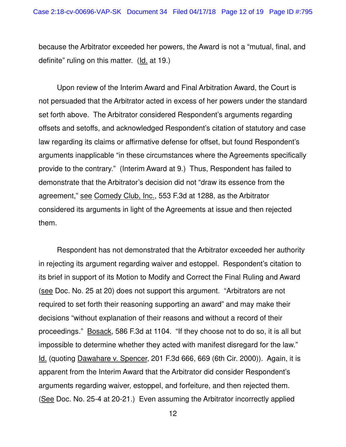because the Arbitrator exceeded her powers, the Award is not a "mutual, final, and definite" ruling on this matter. (Id. at 19.)

Upon review of the Interim Award and Final Arbitration Award, the Court is not persuaded that the Arbitrator acted in excess of her powers under the standard set forth above. The Arbitrator considered Respondent's arguments regarding offsets and setoffs, and acknowledged Respondent's citation of statutory and case law regarding its claims or affirmative defense for offset, but found Respondent's arguments inapplicable "in these circumstances where the Agreements specifically provide to the contrary." (Interim Award at 9.) Thus, Respondent has failed to demonstrate that the Arbitrator's decision did not "draw its essence from the agreement," see Comedy Club, Inc., 553 F.3d at 1288, as the Arbitrator considered its arguments in light of the Agreements at issue and then rejected them.

Respondent has not demonstrated that the Arbitrator exceeded her authority in rejecting its argument regarding waiver and estoppel. Respondent's citation to its brief in support of its Motion to Modify and Correct the Final Ruling and Award (see Doc. No. 25 at 20) does not support this argument. "Arbitrators are not required to set forth their reasoning supporting an award" and may make their decisions "without explanation of their reasons and without a record of their proceedings." Bosack, 586 F.3d at 1104. "If they choose not to do so, it is all but impossible to determine whether they acted with manifest disregard for the law." Id. (quoting Dawahare v. Spencer, 201 F.3d 666, 669 (6th Cir. 2000)). Again, it is apparent from the Interim Award that the Arbitrator did consider Respondent's arguments regarding waiver, estoppel, and forfeiture, and then rejected them. (See Doc. No. 25-4 at 20-21.) Even assuming the Arbitrator incorrectly applied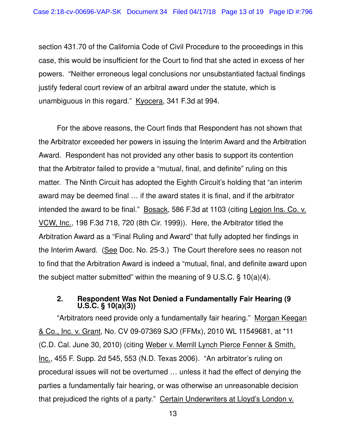section 431.70 of the California Code of Civil Procedure to the proceedings in this case, this would be insufficient for the Court to find that she acted in excess of her powers. "Neither erroneous legal conclusions nor unsubstantiated factual findings justify federal court review of an arbitral award under the statute, which is unambiguous in this regard." Kyocera, 341 F.3d at 994.

For the above reasons, the Court finds that Respondent has not shown that the Arbitrator exceeded her powers in issuing the Interim Award and the Arbitration Award. Respondent has not provided any other basis to support its contention that the Arbitrator failed to provide a "mutual, final, and definite" ruling on this matter. The Ninth Circuit has adopted the Eighth Circuit's holding that "an interim award may be deemed final … if the award states it is final, and if the arbitrator intended the award to be final." Bosack, 586 F.3d at 1103 (citing Legion Ins. Co. v. VCW, Inc., 198 F.3d 718, 720 (8th Cir. 1999)). Here, the Arbitrator titled the Arbitration Award as a "Final Ruling and Award" that fully adopted her findings in the Interim Award. (See Doc. No. 25-3.) The Court therefore sees no reason not to find that the Arbitration Award is indeed a "mutual, final, and definite award upon the subject matter submitted" within the meaning of 9 U.S.C. § 10(a)(4).

#### **2. Respondent Was Not Denied a Fundamentally Fair Hearing (9 U.S.C. § 10(a)(3))**

"Arbitrators need provide only a fundamentally fair hearing." Morgan Keegan & Co., Inc. v. Grant, No. CV 09-07369 SJO (FFMx), 2010 WL 11549681, at \*11 (C.D. Cal. June 30, 2010) (citing Weber v. Merrill Lynch Pierce Fenner & Smith, Inc., 455 F. Supp. 2d 545, 553 (N.D. Texas 2006). "An arbitrator's ruling on procedural issues will not be overturned … unless it had the effect of denying the parties a fundamentally fair hearing, or was otherwise an unreasonable decision that prejudiced the rights of a party." Certain Underwriters at Lloyd's London v.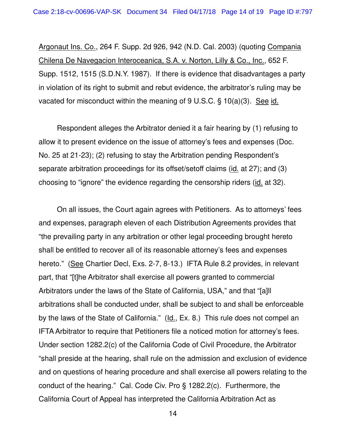Argonaut Ins. Co., 264 F. Supp. 2d 926, 942 (N.D. Cal. 2003) (quoting Compania Chilena De Navegacion Interoceanica, S.A. v. Norton, Lilly & Co., Inc., 652 F. Supp. 1512, 1515 (S.D.N.Y. 1987). If there is evidence that disadvantages a party in violation of its right to submit and rebut evidence, the arbitrator's ruling may be vacated for misconduct within the meaning of 9 U.S.C. § 10(a)(3). See id.

Respondent alleges the Arbitrator denied it a fair hearing by (1) refusing to allow it to present evidence on the issue of attorney's fees and expenses (Doc. No. 25 at 21-23); (2) refusing to stay the Arbitration pending Respondent's separate arbitration proceedings for its offset/setoff claims (id. at 27); and (3) choosing to "ignore" the evidence regarding the censorship riders (id. at 32).

On all issues, the Court again agrees with Petitioners. As to attorneys' fees and expenses, paragraph eleven of each Distribution Agreements provides that "the prevailing party in any arbitration or other legal proceeding brought hereto shall be entitled to recover all of its reasonable attorney's fees and expenses hereto." (See Chartier Decl, Exs. 2-7, 8-13.) IFTA Rule 8.2 provides, in relevant part, that "[t]he Arbitrator shall exercise all powers granted to commercial Arbitrators under the laws of the State of California, USA," and that "[a]ll arbitrations shall be conducted under, shall be subject to and shall be enforceable by the laws of the State of California." (Id., Ex. 8.) This rule does not compel an IFTA Arbitrator to require that Petitioners file a noticed motion for attorney's fees. Under section 1282.2(c) of the California Code of Civil Procedure, the Arbitrator "shall preside at the hearing, shall rule on the admission and exclusion of evidence and on questions of hearing procedure and shall exercise all powers relating to the conduct of the hearing." Cal. Code Civ. Pro § 1282.2(c). Furthermore, the California Court of Appeal has interpreted the California Arbitration Act as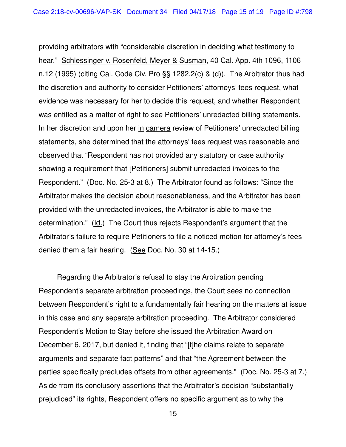providing arbitrators with "considerable discretion in deciding what testimony to hear." Schlessinger v. Rosenfeld, Meyer & Susman, 40 Cal. App. 4th 1096, 1106 n.12 (1995) (citing Cal. Code Civ. Pro §§ 1282.2(c) & (d)). The Arbitrator thus had the discretion and authority to consider Petitioners' attorneys' fees request, what evidence was necessary for her to decide this request, and whether Respondent was entitled as a matter of right to see Petitioners' unredacted billing statements. In her discretion and upon her in camera review of Petitioners' unredacted billing statements, she determined that the attorneys' fees request was reasonable and observed that "Respondent has not provided any statutory or case authority showing a requirement that [Petitioners] submit unredacted invoices to the Respondent." (Doc. No. 25-3 at 8.) The Arbitrator found as follows: "Since the Arbitrator makes the decision about reasonableness, and the Arbitrator has been provided with the unredacted invoices, the Arbitrator is able to make the determination." (Id.) The Court thus rejects Respondent's argument that the Arbitrator's failure to require Petitioners to file a noticed motion for attorney's fees denied them a fair hearing. (See Doc. No. 30 at 14-15.)

Regarding the Arbitrator's refusal to stay the Arbitration pending Respondent's separate arbitration proceedings, the Court sees no connection between Respondent's right to a fundamentally fair hearing on the matters at issue in this case and any separate arbitration proceeding. The Arbitrator considered Respondent's Motion to Stay before she issued the Arbitration Award on December 6, 2017, but denied it, finding that "[t]he claims relate to separate arguments and separate fact patterns" and that "the Agreement between the parties specifically precludes offsets from other agreements." (Doc. No. 25-3 at 7.) Aside from its conclusory assertions that the Arbitrator's decision "substantially prejudiced" its rights, Respondent offers no specific argument as to why the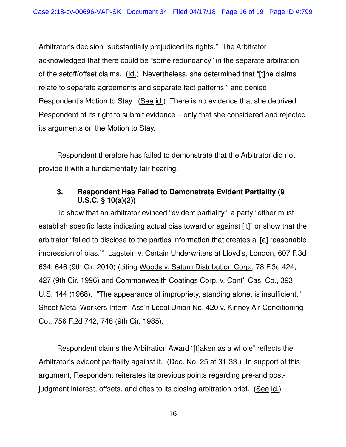Arbitrator's decision "substantially prejudiced its rights." The Arbitrator acknowledged that there could be "some redundancy" in the separate arbitration of the setoff/offset claims. (Id.) Nevertheless, she determined that "[t]he claims relate to separate agreements and separate fact patterns," and denied Respondent's Motion to Stay. (See id.) There is no evidence that she deprived Respondent of its right to submit evidence – only that she considered and rejected its arguments on the Motion to Stay.

Respondent therefore has failed to demonstrate that the Arbitrator did not provide it with a fundamentally fair hearing.

#### **3. Respondent Has Failed to Demonstrate Evident Partiality (9 U.S.C. § 10(a)(2))**

To show that an arbitrator evinced "evident partiality," a party "either must establish specific facts indicating actual bias toward or against [it]" or show that the arbitrator "failed to disclose to the parties information that creates a '[a] reasonable impression of bias.'" Lagstein v. Certain Underwriters at Lloyd's, London, 607 F.3d 634, 646 (9th Cir. 2010) (citing Woods v. Saturn Distribution Corp., 78 F.3d 424, 427 (9th Cir. 1996) and Commonwealth Coatings Corp. v. Cont'l Cas. Co., 393 U.S. 144 (1968). "The appearance of impropriety, standing alone, is insufficient." Sheet Metal Workers Intern. Ass'n Local Union No. 420 v. Kinney Air Conditioning Co., 756 F.2d 742, 746 (9th Cir. 1985).

Respondent claims the Arbitration Award "[t]aken as a whole" reflects the Arbitrator's evident partiality against it. (Doc. No. 25 at 31-33.) In support of this argument, Respondent reiterates its previous points regarding pre-and postjudgment interest, offsets, and cites to its closing arbitration brief. (See id.)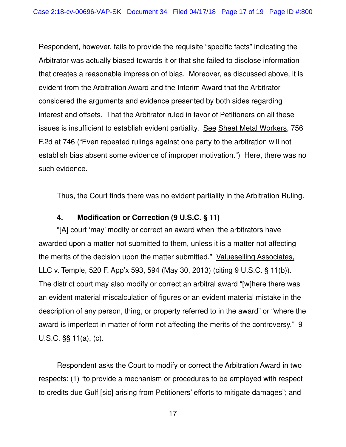Respondent, however, fails to provide the requisite "specific facts" indicating the Arbitrator was actually biased towards it or that she failed to disclose information that creates a reasonable impression of bias. Moreover, as discussed above, it is evident from the Arbitration Award and the Interim Award that the Arbitrator considered the arguments and evidence presented by both sides regarding interest and offsets. That the Arbitrator ruled in favor of Petitioners on all these issues is insufficient to establish evident partiality. See Sheet Metal Workers, 756 F.2d at 746 ("Even repeated rulings against one party to the arbitration will not establish bias absent some evidence of improper motivation.") Here, there was no such evidence.

Thus, the Court finds there was no evident partiality in the Arbitration Ruling.

## **4. Modification or Correction (9 U.S.C. § 11)**

"[A] court 'may' modify or correct an award when 'the arbitrators have awarded upon a matter not submitted to them, unless it is a matter not affecting the merits of the decision upon the matter submitted." Valueselling Associates, LLC v. Temple, 520 F. App'x 593, 594 (May 30, 2013) (citing 9 U.S.C. § 11(b)). The district court may also modify or correct an arbitral award "[w]here there was an evident material miscalculation of figures or an evident material mistake in the description of any person, thing, or property referred to in the award" or "where the award is imperfect in matter of form not affecting the merits of the controversy." 9 U.S.C. §§ 11(a), (c).

Respondent asks the Court to modify or correct the Arbitration Award in two respects: (1) "to provide a mechanism or procedures to be employed with respect to credits due Gulf [sic] arising from Petitioners' efforts to mitigate damages"; and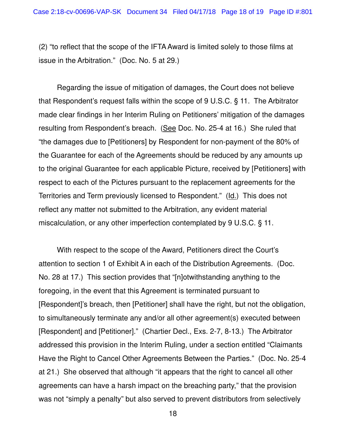(2) "to reflect that the scope of the IFTA Award is limited solely to those films at issue in the Arbitration." (Doc. No. 5 at 29.)

Regarding the issue of mitigation of damages, the Court does not believe that Respondent's request falls within the scope of 9 U.S.C. § 11. The Arbitrator made clear findings in her Interim Ruling on Petitioners' mitigation of the damages resulting from Respondent's breach. (See Doc. No. 25-4 at 16.) She ruled that "the damages due to [Petitioners] by Respondent for non-payment of the 80% of the Guarantee for each of the Agreements should be reduced by any amounts up to the original Guarantee for each applicable Picture, received by [Petitioners] with respect to each of the Pictures pursuant to the replacement agreements for the Territories and Term previously licensed to Respondent." (Id.) This does not reflect any matter not submitted to the Arbitration, any evident material miscalculation, or any other imperfection contemplated by 9 U.S.C. § 11.

With respect to the scope of the Award, Petitioners direct the Court's attention to section 1 of Exhibit A in each of the Distribution Agreements. (Doc. No. 28 at 17.) This section provides that "[n]otwithstanding anything to the foregoing, in the event that this Agreement is terminated pursuant to [Respondent]'s breach, then [Petitioner] shall have the right, but not the obligation, to simultaneously terminate any and/or all other agreement(s) executed between [Respondent] and [Petitioner]." (Chartier Decl., Exs. 2-7, 8-13.) The Arbitrator addressed this provision in the Interim Ruling, under a section entitled "Claimants Have the Right to Cancel Other Agreements Between the Parties." (Doc. No. 25-4 at 21.) She observed that although "it appears that the right to cancel all other agreements can have a harsh impact on the breaching party," that the provision was not "simply a penalty" but also served to prevent distributors from selectively